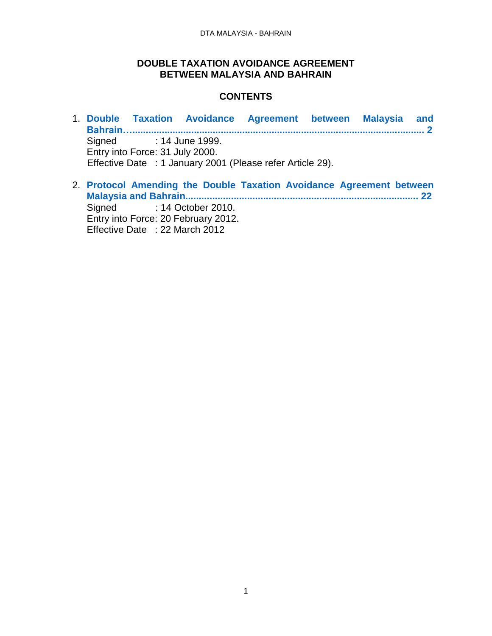### **DOUBLE TAXATION AVOIDANCE AGREEMENT BETWEEN MALAYSIA AND BAHRAIN**

## **CONTENTS**

- 1. **[Double Taxation Avoidance Agreement between Malaysia and](#page-1-0)  [Bahrain….............................................................................................................](#page-1-0) 2** Signed : 14 June 1999. Entry into Force: 31 July 2000. Effective Date : 1 January 2001 (Please refer Article 29).
- 2. **[Protocol Amending the Double Taxation Avoidance Agreement between](#page-21-0)  [Malaysia and Bahrain....................................................................................... 22](#page-21-0)** Signed : 14 October 2010. Entry into Force: 20 February 2012. Effective Date : 22 March 2012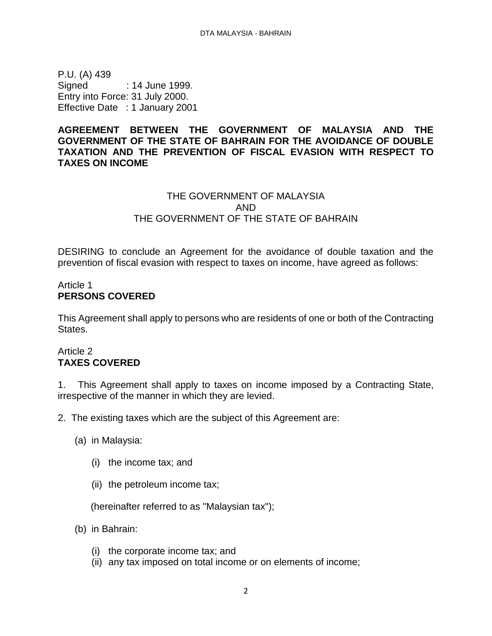<span id="page-1-0"></span>P.U. (A) 439 Signed : 14 June 1999. Entry into Force: 31 July 2000. Effective Date : 1 January 2001

#### **AGREEMENT BETWEEN THE GOVERNMENT OF MALAYSIA AND THE GOVERNMENT OF THE STATE OF BAHRAIN FOR THE AVOIDANCE OF DOUBLE TAXATION AND THE PREVENTION OF FISCAL EVASION WITH RESPECT TO TAXES ON INCOME**

## THE GOVERNMENT OF MALAYSIA AND THE GOVERNMENT OF THE STATE OF BAHRAIN

DESIRING to conclude an Agreement for the avoidance of double taxation and the prevention of fiscal evasion with respect to taxes on income, have agreed as follows:

#### Article 1 **PERSONS COVERED**

This Agreement shall apply to persons who are residents of one or both of the Contracting States.

### Article 2 **TAXES COVERED**

1. This Agreement shall apply to taxes on income imposed by a Contracting State, irrespective of the manner in which they are levied.

2. The existing taxes which are the subject of this Agreement are:

- (a) in Malaysia:
	- (i) the income tax; and
	- (ii) the petroleum income tax;

(hereinafter referred to as "Malaysian tax");

- (b) in Bahrain:
	- (i) the corporate income tax; and
	- (ii) any tax imposed on total income or on elements of income;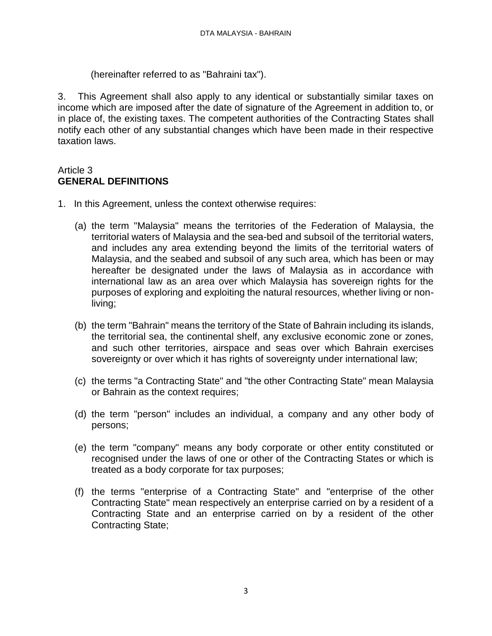(hereinafter referred to as "Bahraini tax").

3. This Agreement shall also apply to any identical or substantially similar taxes on income which are imposed after the date of signature of the Agreement in addition to, or in place of, the existing taxes. The competent authorities of the Contracting States shall notify each other of any substantial changes which have been made in their respective taxation laws.

## Article 3 **GENERAL DEFINITIONS**

- 1. In this Agreement, unless the context otherwise requires:
	- (a) the term "Malaysia" means the territories of the Federation of Malaysia, the territorial waters of Malaysia and the sea-bed and subsoil of the territorial waters, and includes any area extending beyond the limits of the territorial waters of Malaysia, and the seabed and subsoil of any such area, which has been or may hereafter be designated under the laws of Malaysia as in accordance with international law as an area over which Malaysia has sovereign rights for the purposes of exploring and exploiting the natural resources, whether living or nonliving;
	- (b) the term "Bahrain" means the territory of the State of Bahrain including its islands, the territorial sea, the continental shelf, any exclusive economic zone or zones, and such other territories, airspace and seas over which Bahrain exercises sovereignty or over which it has rights of sovereignty under international law;
	- (c) the terms "a Contracting State" and "the other Contracting State" mean Malaysia or Bahrain as the context requires;
	- (d) the term "person" includes an individual, a company and any other body of persons;
	- (e) the term "company" means any body corporate or other entity constituted or recognised under the laws of one or other of the Contracting States or which is treated as a body corporate for tax purposes;
	- (f) the terms "enterprise of a Contracting State" and "enterprise of the other Contracting State" mean respectively an enterprise carried on by a resident of a Contracting State and an enterprise carried on by a resident of the other Contracting State;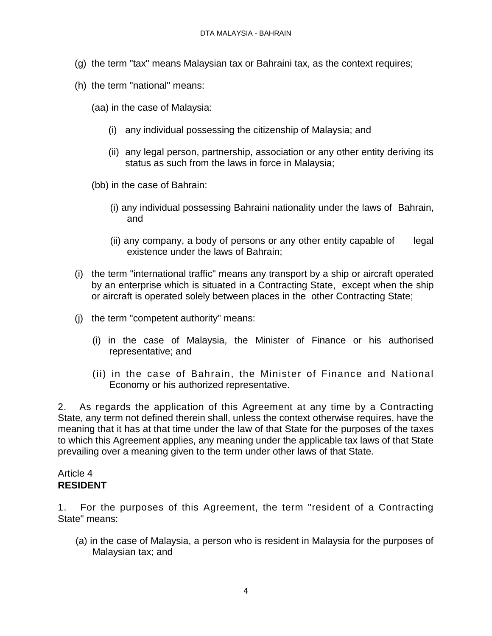- (g) the term "tax" means Malaysian tax or Bahraini tax, as the context requires;
- (h) the term "national" means:
	- (aa) in the case of Malaysia:
		- (i) any individual possessing the citizenship of Malaysia; and
		- (ii) any legal person, partnership, association or any other entity deriving its status as such from the laws in force in Malaysia;
	- (bb) in the case of Bahrain:
		- (i) any individual possessing Bahraini nationality under the laws of Bahrain, and
		- (ii) any company, a body of persons or any other entity capable of legal existence under the laws of Bahrain;
- (i) the term "international traffic" means any transport by a ship or aircraft operated by an enterprise which is situated in a Contracting State, except when the ship or aircraft is operated solely between places in the other Contracting State;
- (j) the term "competent authority" means:
	- (i) in the case of Malaysia, the Minister of Finance or his authorised representative; and
	- (ii) in the case of Bahrain, the Minister of Finance and National Economy or his authorized representative.

2. As regards the application of this Agreement at any time by a Contracting State, any term not defined therein shall, unless the context otherwise requires, have the meaning that it has at that time under the law of that State for the purposes of the taxes to which this Agreement applies, any meaning under the applicable tax laws of that State prevailing over a meaning given to the term under other laws of that State.

#### Article 4 **RESIDENT**

1. For the purposes of this Agreement, the term "resident of a Contracting State" means:

(a) in the case of Malaysia, a person who is resident in Malaysia for the purposes of Malaysian tax; and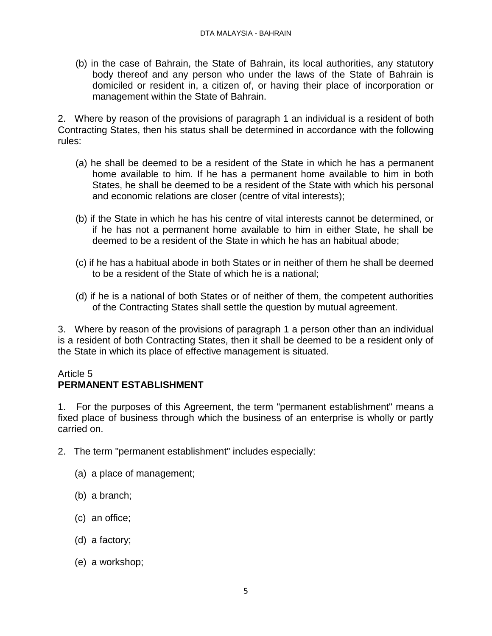(b) in the case of Bahrain, the State of Bahrain, its local authorities, any statutory body thereof and any person who under the laws of the State of Bahrain is domiciled or resident in, a citizen of, or having their place of incorporation or management within the State of Bahrain.

2. Where by reason of the provisions of paragraph 1 an individual is a resident of both Contracting States, then his status shall be determined in accordance with the following rules:

- (a) he shall be deemed to be a resident of the State in which he has a permanent home available to him. If he has a permanent home available to him in both States, he shall be deemed to be a resident of the State with which his personal and economic relations are closer (centre of vital interests);
- (b) if the State in which he has his centre of vital interests cannot be determined, or if he has not a permanent home available to him in either State, he shall be deemed to be a resident of the State in which he has an habitual abode;
- (c) if he has a habitual abode in both States or in neither of them he shall be deemed to be a resident of the State of which he is a national;
- (d) if he is a national of both States or of neither of them, the competent authorities of the Contracting States shall settle the question by mutual agreement.

3. Where by reason of the provisions of paragraph 1 a person other than an individual is a resident of both Contracting States, then it shall be deemed to be a resident only of the State in which its place of effective management is situated.

## Article 5

# **PERMANENT ESTABLISHMENT**

1. For the purposes of this Agreement, the term "permanent establishment" means a fixed place of business through which the business of an enterprise is wholly or partly carried on.

- 2. The term "permanent establishment" includes especially:
	- (a) a place of management;
	- (b) a branch;
	- (c) an office;
	- (d) a factory;
	- (e) a workshop;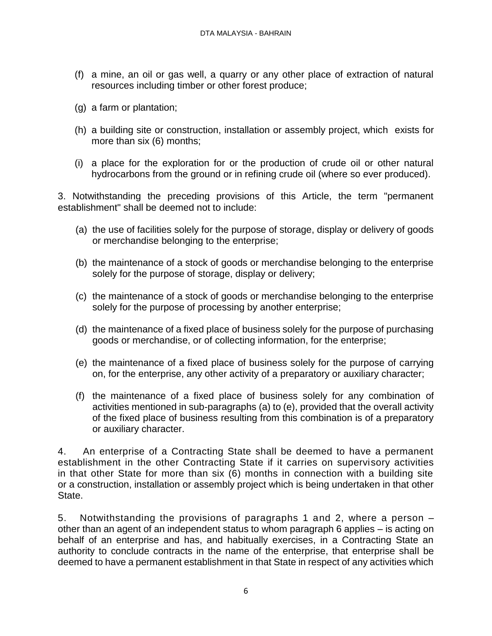- (f) a mine, an oil or gas well, a quarry or any other place of extraction of natural resources including timber or other forest produce;
- (g) a farm or plantation;
- (h) a building site or construction, installation or assembly project, which exists for more than six (6) months;
- (i) a place for the exploration for or the production of crude oil or other natural hydrocarbons from the ground or in refining crude oil (where so ever produced).

3. Notwithstanding the preceding provisions of this Article, the term "permanent establishment" shall be deemed not to include:

- (a) the use of facilities solely for the purpose of storage, display or delivery of goods or merchandise belonging to the enterprise;
- (b) the maintenance of a stock of goods or merchandise belonging to the enterprise solely for the purpose of storage, display or delivery;
- (c) the maintenance of a stock of goods or merchandise belonging to the enterprise solely for the purpose of processing by another enterprise;
- (d) the maintenance of a fixed place of business solely for the purpose of purchasing goods or merchandise, or of collecting information, for the enterprise;
- (e) the maintenance of a fixed place of business solely for the purpose of carrying on, for the enterprise, any other activity of a preparatory or auxiliary character;
- (f) the maintenance of a fixed place of business solely for any combination of activities mentioned in sub-paragraphs (a) to (e), provided that the overall activity of the fixed place of business resulting from this combination is of a preparatory or auxiliary character.

4. An enterprise of a Contracting State shall be deemed to have a permanent establishment in the other Contracting State if it carries on supervisory activities in that other State for more than six (6) months in connection with a building site or a construction, installation or assembly project which is being undertaken in that other State.

5. Notwithstanding the provisions of paragraphs 1 and 2, where a person – other than an agent of an independent status to whom paragraph 6 applies – is acting on behalf of an enterprise and has, and habitually exercises, in a Contracting State an authority to conclude contracts in the name of the enterprise, that enterprise shall be deemed to have a permanent establishment in that State in respect of any activities which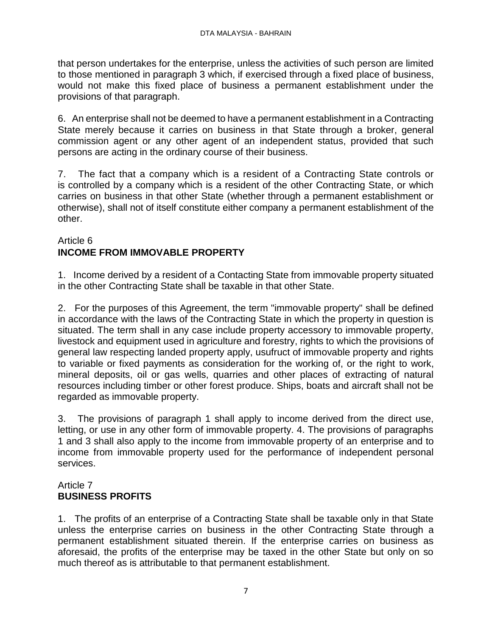that person undertakes for the enterprise, unless the activities of such person are limited to those mentioned in paragraph 3 which, if exercised through a fixed place of business, would not make this fixed place of business a permanent establishment under the provisions of that paragraph.

6. An enterprise shall not be deemed to have a permanent establishment in a Contracting State merely because it carries on business in that State through a broker, general commission agent or any other agent of an independent status, provided that such persons are acting in the ordinary course of their business.

7. The fact that a company which is a resident of a Contracting State controls or is controlled by a company which is a resident of the other Contracting State, or which carries on business in that other State (whether through a permanent establishment or otherwise), shall not of itself constitute either company a permanent establishment of the other.

### Article 6 **INCOME FROM IMMOVABLE PROPERTY**

1. Income derived by a resident of a Contacting State from immovable property situated in the other Contracting State shall be taxable in that other State.

2. For the purposes of this Agreement, the term "immovable property" shall be defined in accordance with the laws of the Contracting State in which the property in question is situated. The term shall in any case include property accessory to immovable property, livestock and equipment used in agriculture and forestry, rights to which the provisions of general law respecting landed property apply, usufruct of immovable property and rights to variable or fixed payments as consideration for the working of, or the right to work, mineral deposits, oil or gas wells, quarries and other places of extracting of natural resources including timber or other forest produce. Ships, boats and aircraft shall not be regarded as immovable property.

3. The provisions of paragraph 1 shall apply to income derived from the direct use, letting, or use in any other form of immovable property. 4. The provisions of paragraphs 1 and 3 shall also apply to the income from immovable property of an enterprise and to income from immovable property used for the performance of independent personal services.

## Article 7 **BUSINESS PROFITS**

1. The profits of an enterprise of a Contracting State shall be taxable only in that State unless the enterprise carries on business in the other Contracting State through a permanent establishment situated therein. If the enterprise carries on business as aforesaid, the profits of the enterprise may be taxed in the other State but only on so much thereof as is attributable to that permanent establishment.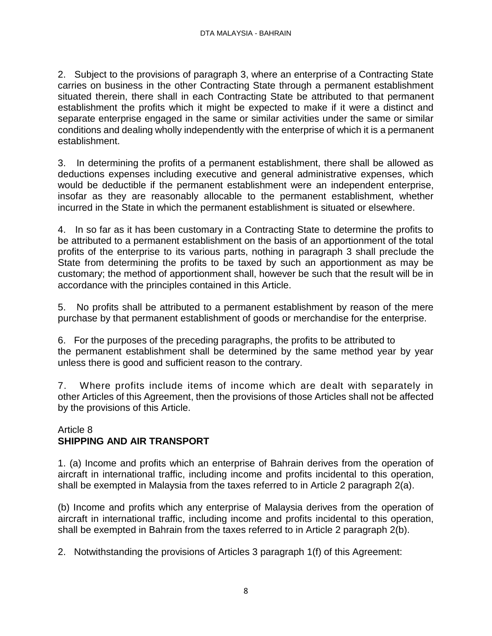2. Subject to the provisions of paragraph 3, where an enterprise of a Contracting State carries on business in the other Contracting State through a permanent establishment situated therein, there shall in each Contracting State be attributed to that permanent establishment the profits which it might be expected to make if it were a distinct and separate enterprise engaged in the same or similar activities under the same or similar conditions and dealing wholly independently with the enterprise of which it is a permanent establishment.

3. In determining the profits of a permanent establishment, there shall be allowed as deductions expenses including executive and general administrative expenses, which would be deductible if the permanent establishment were an independent enterprise, insofar as they are reasonably allocable to the permanent establishment, whether incurred in the State in which the permanent establishment is situated or elsewhere.

4. In so far as it has been customary in a Contracting State to determine the profits to be attributed to a permanent establishment on the basis of an apportionment of the total profits of the enterprise to its various parts, nothing in paragraph 3 shall preclude the State from determining the profits to be taxed by such an apportionment as may be customary; the method of apportionment shall, however be such that the result will be in accordance with the principles contained in this Article.

5. No profits shall be attributed to a permanent establishment by reason of the mere purchase by that permanent establishment of goods or merchandise for the enterprise.

6. For the purposes of the preceding paragraphs, the profits to be attributed to the permanent establishment shall be determined by the same method year by year unless there is good and sufficient reason to the contrary.

7. Where profits include items of income which are dealt with separately in other Articles of this Agreement, then the provisions of those Articles shall not be affected by the provisions of this Article.

## Article 8 **SHIPPING AND AIR TRANSPORT**

1. (a) Income and profits which an enterprise of Bahrain derives from the operation of aircraft in international traffic, including income and profits incidental to this operation, shall be exempted in Malaysia from the taxes referred to in Article 2 paragraph 2(a).

(b) Income and profits which any enterprise of Malaysia derives from the operation of aircraft in international traffic, including income and profits incidental to this operation, shall be exempted in Bahrain from the taxes referred to in Article 2 paragraph 2(b).

2. Notwithstanding the provisions of Articles 3 paragraph 1(f) of this Agreement: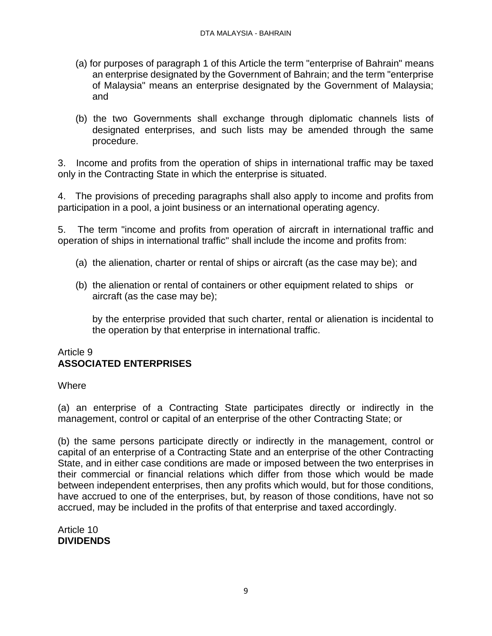- (a) for purposes of paragraph 1 of this Article the term "enterprise of Bahrain" means an enterprise designated by the Government of Bahrain; and the term "enterprise of Malaysia" means an enterprise designated by the Government of Malaysia; and
- (b) the two Governments shall exchange through diplomatic channels lists of designated enterprises, and such lists may be amended through the same procedure.

3. Income and profits from the operation of ships in international traffic may be taxed only in the Contracting State in which the enterprise is situated.

4. The provisions of preceding paragraphs shall also apply to income and profits from participation in a pool, a joint business or an international operating agency.

5. The term "income and profits from operation of aircraft in international traffic and operation of ships in international traffic" shall include the income and profits from:

- (a) the alienation, charter or rental of ships or aircraft (as the case may be); and
- (b) the alienation or rental of containers or other equipment related to ships or aircraft (as the case may be);

by the enterprise provided that such charter, rental or alienation is incidental to the operation by that enterprise in international traffic.

#### Article 9 **ASSOCIATED ENTERPRISES**

#### **Where**

(a) an enterprise of a Contracting State participates directly or indirectly in the management, control or capital of an enterprise of the other Contracting State; or

(b) the same persons participate directly or indirectly in the management, control or capital of an enterprise of a Contracting State and an enterprise of the other Contracting State, and in either case conditions are made or imposed between the two enterprises in their commercial or financial relations which differ from those which would be made between independent enterprises, then any profits which would, but for those conditions, have accrued to one of the enterprises, but, by reason of those conditions, have not so accrued, may be included in the profits of that enterprise and taxed accordingly.

Article 10 **DIVIDENDS**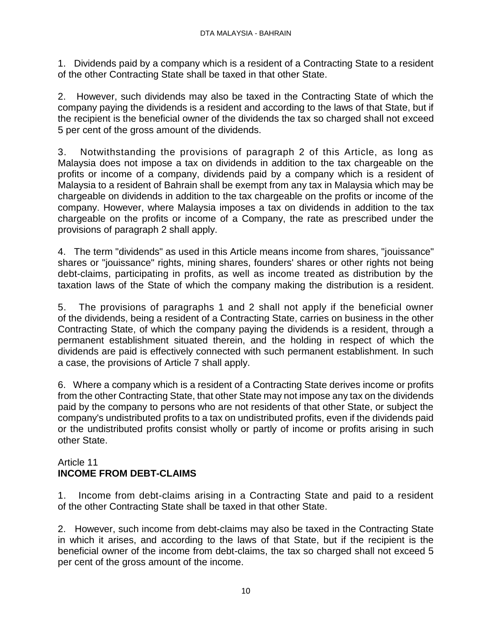1. Dividends paid by a company which is a resident of a Contracting State to a resident of the other Contracting State shall be taxed in that other State.

2. However, such dividends may also be taxed in the Contracting State of which the company paying the dividends is a resident and according to the laws of that State, but if the recipient is the beneficial owner of the dividends the tax so charged shall not exceed 5 per cent of the gross amount of the dividends.

3. Notwithstanding the provisions of paragraph 2 of this Article, as long as Malaysia does not impose a tax on dividends in addition to the tax chargeable on the profits or income of a company, dividends paid by a company which is a resident of Malaysia to a resident of Bahrain shall be exempt from any tax in Malaysia which may be chargeable on dividends in addition to the tax chargeable on the profits or income of the company. However, where Malaysia imposes a tax on dividends in addition to the tax chargeable on the profits or income of a Company, the rate as prescribed under the provisions of paragraph 2 shall apply.

4. The term "dividends" as used in this Article means income from shares, "jouissance" shares or "jouissance" rights, mining shares, founders' shares or other rights not being debt-claims, participating in profits, as well as income treated as distribution by the taxation laws of the State of which the company making the distribution is a resident.

5. The provisions of paragraphs 1 and 2 shall not apply if the beneficial owner of the dividends, being a resident of a Contracting State, carries on business in the other Contracting State, of which the company paying the dividends is a resident, through a permanent establishment situated therein, and the holding in respect of which the dividends are paid is effectively connected with such permanent establishment. In such a case, the provisions of Article 7 shall apply.

6. Where a company which is a resident of a Contracting State derives income or profits from the other Contracting State, that other State may not impose any tax on the dividends paid by the company to persons who are not residents of that other State, or subject the company's undistributed profits to a tax on undistributed profits, even if the dividends paid or the undistributed profits consist wholly or partly of income or profits arising in such other State.

# Article 11 **INCOME FROM DEBT-CLAIMS**

1. Income from debt-claims arising in a Contracting State and paid to a resident of the other Contracting State shall be taxed in that other State.

2. However, such income from debt-claims may also be taxed in the Contracting State in which it arises, and according to the laws of that State, but if the recipient is the beneficial owner of the income from debt-claims, the tax so charged shall not exceed 5 per cent of the gross amount of the income.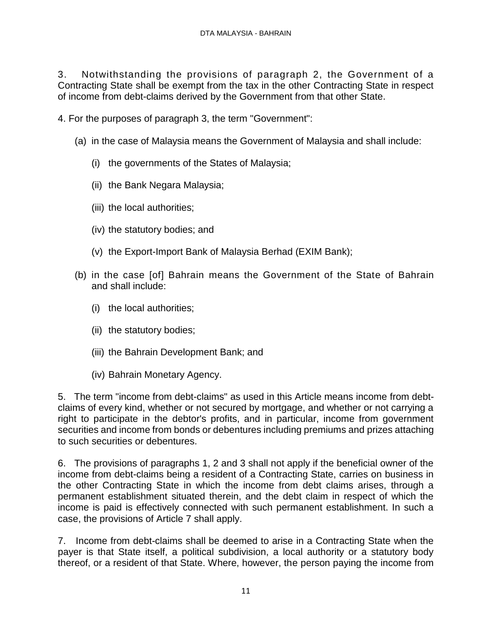3. Notwithstanding the provisions of paragraph 2, the Government of a Contracting State shall be exempt from the tax in the other Contracting State in respect of income from debt-claims derived by the Government from that other State.

4. For the purposes of paragraph 3, the term "Government":

- (a) in the case of Malaysia means the Government of Malaysia and shall include:
	- (i) the governments of the States of Malaysia;
	- (ii) the Bank Negara Malaysia;
	- (iii) the local authorities;
	- (iv) the statutory bodies; and
	- (v) the Export-Import Bank of Malaysia Berhad (EXIM Bank);
- (b) in the case [of] Bahrain means the Government of the State of Bahrain and shall include:
	- (i) the local authorities;
	- (ii) the statutory bodies;
	- (iii) the Bahrain Development Bank; and
	- (iv) Bahrain Monetary Agency.

5. The term "income from debt-claims" as used in this Article means income from debtclaims of every kind, whether or not secured by mortgage, and whether or not carrying a right to participate in the debtor's profits, and in particular, income from government securities and income from bonds or debentures including premiums and prizes attaching to such securities or debentures.

6. The provisions of paragraphs 1, 2 and 3 shall not apply if the beneficial owner of the income from debt-claims being a resident of a Contracting State, carries on business in the other Contracting State in which the income from debt claims arises, through a permanent establishment situated therein, and the debt claim in respect of which the income is paid is effectively connected with such permanent establishment. In such a case, the provisions of Article 7 shall apply.

7. Income from debt-claims shall be deemed to arise in a Contracting State when the payer is that State itself, a political subdivision, a local authority or a statutory body thereof, or a resident of that State. Where, however, the person paying the income from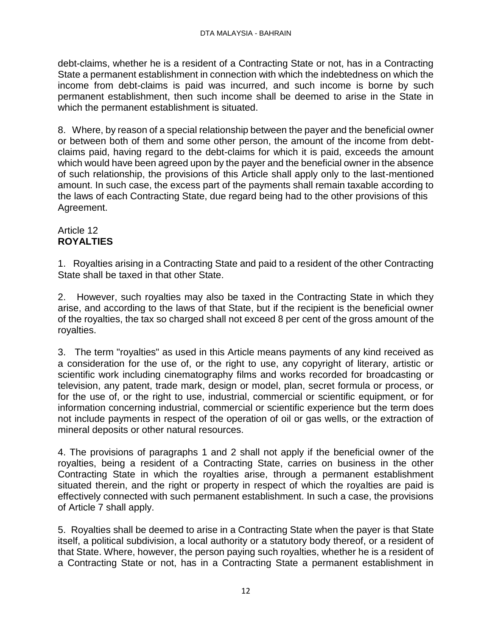debt-claims, whether he is a resident of a Contracting State or not, has in a Contracting State a permanent establishment in connection with which the indebtedness on which the income from debt-claims is paid was incurred, and such income is borne by such permanent establishment, then such income shall be deemed to arise in the State in which the permanent establishment is situated.

8. Where, by reason of a special relationship between the payer and the beneficial owner or between both of them and some other person, the amount of the income from debtclaims paid, having regard to the debt-claims for which it is paid, exceeds the amount which would have been agreed upon by the payer and the beneficial owner in the absence of such relationship, the provisions of this Article shall apply only to the last-mentioned amount. In such case, the excess part of the payments shall remain taxable according to the laws of each Contracting State, due regard being had to the other provisions of this Agreement.

# Article 12 **ROYALTIES**

1. Royalties arising in a Contracting State and paid to a resident of the other Contracting State shall be taxed in that other State.

2. However, such royalties may also be taxed in the Contracting State in which they arise, and according to the laws of that State, but if the recipient is the beneficial owner of the royalties, the tax so charged shall not exceed 8 per cent of the gross amount of the royalties.

3. The term "royalties" as used in this Article means payments of any kind received as a consideration for the use of, or the right to use, any copyright of literary, artistic or scientific work including cinematography films and works recorded for broadcasting or television, any patent, trade mark, design or model, plan, secret formula or process, or for the use of, or the right to use, industrial, commercial or scientific equipment, or for information concerning industrial, commercial or scientific experience but the term does not include payments in respect of the operation of oil or gas wells, or the extraction of mineral deposits or other natural resources.

4. The provisions of paragraphs 1 and 2 shall not apply if the beneficial owner of the royalties, being a resident of a Contracting State, carries on business in the other Contracting State in which the royalties arise, through a permanent establishment situated therein, and the right or property in respect of which the royalties are paid is effectively connected with such permanent establishment. In such a case, the provisions of Article 7 shall apply.

5. Royalties shall be deemed to arise in a Contracting State when the payer is that State itself, a political subdivision, a local authority or a statutory body thereof, or a resident of that State. Where, however, the person paying such royalties, whether he is a resident of a Contracting State or not, has in a Contracting State a permanent establishment in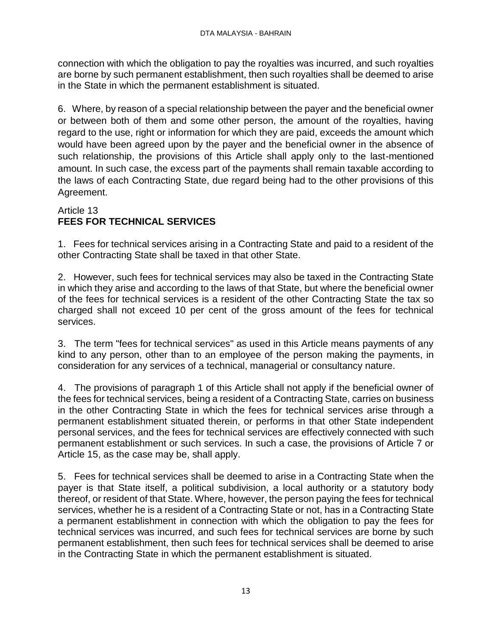connection with which the obligation to pay the royalties was incurred, and such royalties are borne by such permanent establishment, then such royalties shall be deemed to arise in the State in which the permanent establishment is situated.

6. Where, by reason of a special relationship between the payer and the beneficial owner or between both of them and some other person, the amount of the royalties, having regard to the use, right or information for which they are paid, exceeds the amount which would have been agreed upon by the payer and the beneficial owner in the absence of such relationship, the provisions of this Article shall apply only to the last-mentioned amount. In such case, the excess part of the payments shall remain taxable according to the laws of each Contracting State, due regard being had to the other provisions of this Agreement.

# Article 13 **FEES FOR TECHNICAL SERVICES**

1. Fees for technical services arising in a Contracting State and paid to a resident of the other Contracting State shall be taxed in that other State.

2. However, such fees for technical services may also be taxed in the Contracting State in which they arise and according to the laws of that State, but where the beneficial owner of the fees for technical services is a resident of the other Contracting State the tax so charged shall not exceed 10 per cent of the gross amount of the fees for technical services.

3. The term "fees for technical services" as used in this Article means payments of any kind to any person, other than to an employee of the person making the payments, in consideration for any services of a technical, managerial or consultancy nature.

4. The provisions of paragraph 1 of this Article shall not apply if the beneficial owner of the fees for technical services, being a resident of a Contracting State, carries on business in the other Contracting State in which the fees for technical services arise through a permanent establishment situated therein, or performs in that other State independent personal services, and the fees for technical services are effectively connected with such permanent establishment or such services. In such a case, the provisions of Article 7 or Article 15, as the case may be, shall apply.

5. Fees for technical services shall be deemed to arise in a Contracting State when the payer is that State itself, a political subdivision, a local authority or a statutory body thereof, or resident of that State. Where, however, the person paying the fees for technical services, whether he is a resident of a Contracting State or not, has in a Contracting State a permanent establishment in connection with which the obligation to pay the fees for technical services was incurred, and such fees for technical services are borne by such permanent establishment, then such fees for technical services shall be deemed to arise in the Contracting State in which the permanent establishment is situated.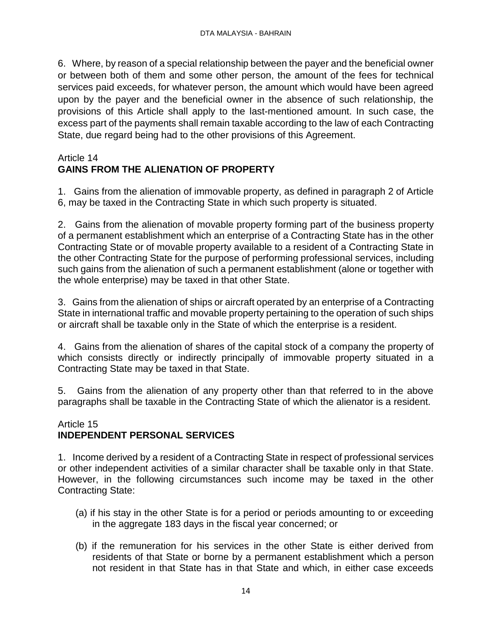6. Where, by reason of a special relationship between the payer and the beneficial owner or between both of them and some other person, the amount of the fees for technical services paid exceeds, for whatever person, the amount which would have been agreed upon by the payer and the beneficial owner in the absence of such relationship, the provisions of this Article shall apply to the last-mentioned amount. In such case, the excess part of the payments shall remain taxable according to the law of each Contracting State, due regard being had to the other provisions of this Agreement.

#### Article 14 **GAINS FROM THE ALIENATION OF PROPERTY**

1. Gains from the alienation of immovable property, as defined in paragraph 2 of Article 6, may be taxed in the Contracting State in which such property is situated.

2. Gains from the alienation of movable property forming part of the business property of a permanent establishment which an enterprise of a Contracting State has in the other Contracting State or of movable property available to a resident of a Contracting State in the other Contracting State for the purpose of performing professional services, including such gains from the alienation of such a permanent establishment (alone or together with the whole enterprise) may be taxed in that other State.

3. Gains from the alienation of ships or aircraft operated by an enterprise of a Contracting State in international traffic and movable property pertaining to the operation of such ships or aircraft shall be taxable only in the State of which the enterprise is a resident.

4. Gains from the alienation of shares of the capital stock of a company the property of which consists directly or indirectly principally of immovable property situated in a Contracting State may be taxed in that State.

5. Gains from the alienation of any property other than that referred to in the above paragraphs shall be taxable in the Contracting State of which the alienator is a resident.

### Article 15 **INDEPENDENT PERSONAL SERVICES**

1. Income derived by a resident of a Contracting State in respect of professional services or other independent activities of a similar character shall be taxable only in that State. However, in the following circumstances such income may be taxed in the other Contracting State:

- (a) if his stay in the other State is for a period or periods amounting to or exceeding in the aggregate 183 days in the fiscal year concerned; or
- (b) if the remuneration for his services in the other State is either derived from residents of that State or borne by a permanent establishment which a person not resident in that State has in that State and which, in either case exceeds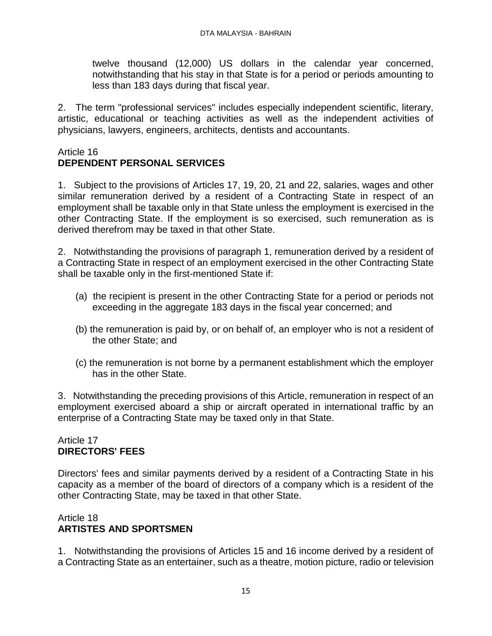twelve thousand (12,000) US dollars in the calendar year concerned, notwithstanding that his stay in that State is for a period or periods amounting to less than 183 days during that fiscal year.

2. The term "professional services" includes especially independent scientific, literary, artistic, educational or teaching activities as well as the independent activities of physicians, lawyers, engineers, architects, dentists and accountants.

## Article 16 **DEPENDENT PERSONAL SERVICES**

1. Subject to the provisions of Articles 17, 19, 20, 21 and 22, salaries, wages and other similar remuneration derived by a resident of a Contracting State in respect of an employment shall be taxable only in that State unless the employment is exercised in the other Contracting State. If the employment is so exercised, such remuneration as is derived therefrom may be taxed in that other State.

2. Notwithstanding the provisions of paragraph 1, remuneration derived by a resident of a Contracting State in respect of an employment exercised in the other Contracting State shall be taxable only in the first-mentioned State if:

- (a) the recipient is present in the other Contracting State for a period or periods not exceeding in the aggregate 183 days in the fiscal year concerned; and
- (b) the remuneration is paid by, or on behalf of, an employer who is not a resident of the other State; and
- (c) the remuneration is not borne by a permanent establishment which the employer has in the other State.

3. Notwithstanding the preceding provisions of this Article, remuneration in respect of an employment exercised aboard a ship or aircraft operated in international traffic by an enterprise of a Contracting State may be taxed only in that State.

# Article 17 **DIRECTORS' FEES**

Directors' fees and similar payments derived by a resident of a Contracting State in his capacity as a member of the board of directors of a company which is a resident of the other Contracting State, may be taxed in that other State.

# Article 18 **ARTISTES AND SPORTSMEN**

1. Notwithstanding the provisions of Articles 15 and 16 income derived by a resident of a Contracting State as an entertainer, such as a theatre, motion picture, radio or television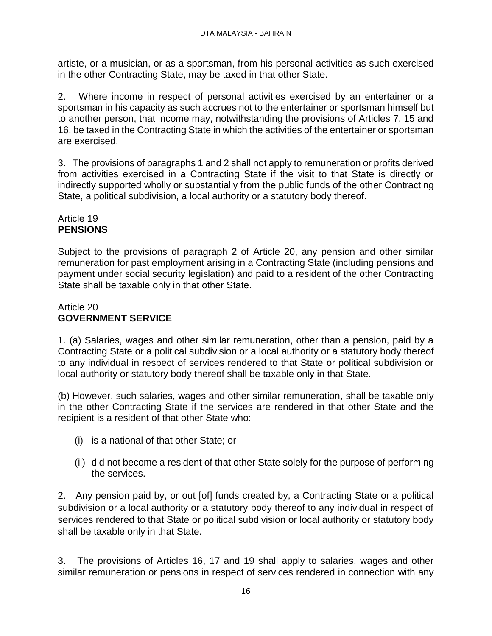artiste, or a musician, or as a sportsman, from his personal activities as such exercised in the other Contracting State, may be taxed in that other State.

2. Where income in respect of personal activities exercised by an entertainer or a sportsman in his capacity as such accrues not to the entertainer or sportsman himself but to another person, that income may, notwithstanding the provisions of Articles 7, 15 and 16, be taxed in the Contracting State in which the activities of the entertainer or sportsman are exercised.

3. The provisions of paragraphs 1 and 2 shall not apply to remuneration or profits derived from activities exercised in a Contracting State if the visit to that State is directly or indirectly supported wholly or substantially from the public funds of the other Contracting State, a political subdivision, a local authority or a statutory body thereof.

# Article 19 **PENSIONS**

Subject to the provisions of paragraph 2 of Article 20, any pension and other similar remuneration for past employment arising in a Contracting State (including pensions and payment under social security legislation) and paid to a resident of the other Contracting State shall be taxable only in that other State.

# Article 20 **GOVERNMENT SERVICE**

1. (a) Salaries, wages and other similar remuneration, other than a pension, paid by a Contracting State or a political subdivision or a local authority or a statutory body thereof to any individual in respect of services rendered to that State or political subdivision or local authority or statutory body thereof shall be taxable only in that State.

(b) However, such salaries, wages and other similar remuneration, shall be taxable only in the other Contracting State if the services are rendered in that other State and the recipient is a resident of that other State who:

- (i) is a national of that other State; or
- (ii) did not become a resident of that other State solely for the purpose of performing the services.

2. Any pension paid by, or out [of] funds created by, a Contracting State or a political subdivision or a local authority or a statutory body thereof to any individual in respect of services rendered to that State or political subdivision or local authority or statutory body shall be taxable only in that State.

3. The provisions of Articles 16, 17 and 19 shall apply to salaries, wages and other similar remuneration or pensions in respect of services rendered in connection with any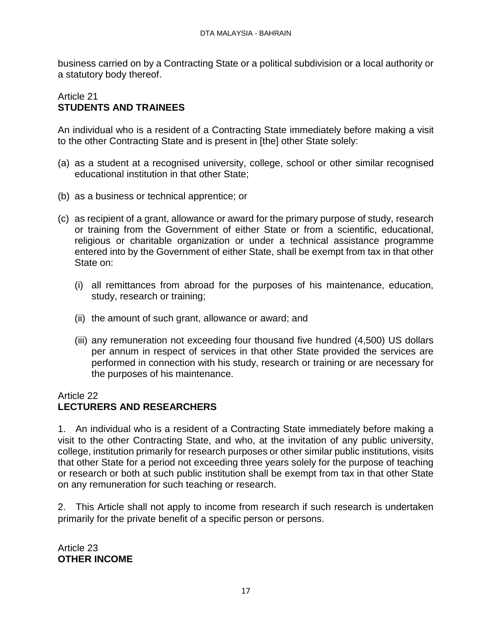business carried on by a Contracting State or a political subdivision or a local authority or a statutory body thereof.

## Article 21 **STUDENTS AND TRAINEES**

An individual who is a resident of a Contracting State immediately before making a visit to the other Contracting State and is present in [the] other State solely:

- (a) as a student at a recognised university, college, school or other similar recognised educational institution in that other State;
- (b) as a business or technical apprentice; or
- (c) as recipient of a grant, allowance or award for the primary purpose of study, research or training from the Government of either State or from a scientific, educational, religious or charitable organization or under a technical assistance programme entered into by the Government of either State, shall be exempt from tax in that other State on:
	- (i) all remittances from abroad for the purposes of his maintenance, education, study, research or training;
	- (ii) the amount of such grant, allowance or award; and
	- (iii) any remuneration not exceeding four thousand five hundred (4,500) US dollars per annum in respect of services in that other State provided the services are performed in connection with his study, research or training or are necessary for the purposes of his maintenance.

#### Article 22

# **LECTURERS AND RESEARCHERS**

1. An individual who is a resident of a Contracting State immediately before making a visit to the other Contracting State, and who, at the invitation of any public university, college, institution primarily for research purposes or other similar public institutions, visits that other State for a period not exceeding three years solely for the purpose of teaching or research or both at such public institution shall be exempt from tax in that other State on any remuneration for such teaching or research.

2. This Article shall not apply to income from research if such research is undertaken primarily for the private benefit of a specific person or persons.

Article 23 **OTHER INCOME**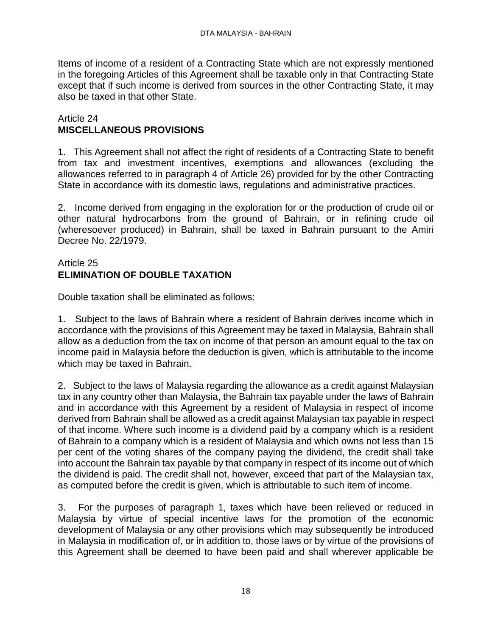Items of income of a resident of a Contracting State which are not expressly mentioned in the foregoing Articles of this Agreement shall be taxable only in that Contracting State except that if such income is derived from sources in the other Contracting State, it may also be taxed in that other State.

### Article 24 **MISCELLANEOUS PROVISIONS**

1. This Agreement shall not affect the right of residents of a Contracting State to benefit from tax and investment incentives, exemptions and allowances (excluding the allowances referred to in paragraph 4 of Article 26) provided for by the other Contracting State in accordance with its domestic laws, regulations and administrative practices.

2. Income derived from engaging in the exploration for or the production of crude oil or other natural hydrocarbons from the ground of Bahrain, or in refining crude oil (wheresoever produced) in Bahrain, shall be taxed in Bahrain pursuant to the Amiri Decree No. 22/1979.

# Article 25 **ELIMINATION OF DOUBLE TAXATION**

Double taxation shall be eliminated as follows:

1. Subject to the laws of Bahrain where a resident of Bahrain derives income which in accordance with the provisions of this Agreement may be taxed in Malaysia, Bahrain shall allow as a deduction from the tax on income of that person an amount equal to the tax on income paid in Malaysia before the deduction is given, which is attributable to the income which may be taxed in Bahrain.

2. Subject to the laws of Malaysia regarding the allowance as a credit against Malaysian tax in any country other than Malaysia, the Bahrain tax payable under the laws of Bahrain and in accordance with this Agreement by a resident of Malaysia in respect of income derived from Bahrain shall be allowed as a credit against Malaysian tax payable in respect of that income. Where such income is a dividend paid by a company which is a resident of Bahrain to a company which is a resident of Malaysia and which owns not less than 15 per cent of the voting shares of the company paying the dividend, the credit shall take into account the Bahrain tax payable by that company in respect of its income out of which the dividend is paid. The credit shall not, however, exceed that part of the Malaysian tax, as computed before the credit is given, which is attributable to such item of income.

3. For the purposes of paragraph 1, taxes which have been relieved or reduced in Malaysia by virtue of special incentive laws for the promotion of the economic development of Malaysia or any other provisions which may subsequently be introduced in Malaysia in modification of, or in addition to, those laws or by virtue of the provisions of this Agreement shall be deemed to have been paid and shall wherever applicable be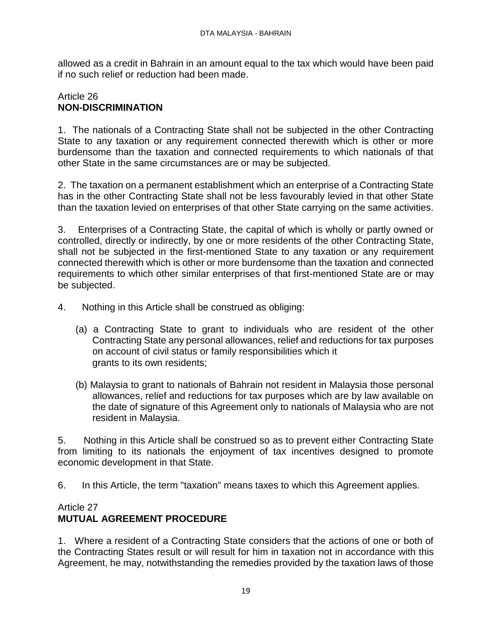allowed as a credit in Bahrain in an amount equal to the tax which would have been paid if no such relief or reduction had been made.

### Article 26 **NON-DISCRIMINATION**

1. The nationals of a Contracting State shall not be subjected in the other Contracting State to any taxation or any requirement connected therewith which is other or more burdensome than the taxation and connected requirements to which nationals of that other State in the same circumstances are or may be subjected.

2. The taxation on a permanent establishment which an enterprise of a Contracting State has in the other Contracting State shall not be less favourably levied in that other State than the taxation levied on enterprises of that other State carrying on the same activities.

3. Enterprises of a Contracting State, the capital of which is wholly or partly owned or controlled, directly or indirectly, by one or more residents of the other Contracting State, shall not be subjected in the first-mentioned State to any taxation or any requirement connected therewith which is other or more burdensome than the taxation and connected requirements to which other similar enterprises of that first-mentioned State are or may be subjected.

- 4. Nothing in this Article shall be construed as obliging:
	- (a) a Contracting State to grant to individuals who are resident of the other Contracting State any personal allowances, relief and reductions for tax purposes on account of civil status or family responsibilities which it grants to its own residents;
	- (b) Malaysia to grant to nationals of Bahrain not resident in Malaysia those personal allowances, relief and reductions for tax purposes which are by law available on the date of signature of this Agreement only to nationals of Malaysia who are not resident in Malaysia.

5. Nothing in this Article shall be construed so as to prevent either Contracting State from limiting to its nationals the enjoyment of tax incentives designed to promote economic development in that State.

6. In this Article, the term "taxation" means taxes to which this Agreement applies.

## Article 27

# **MUTUAL AGREEMENT PROCEDURE**

1. Where a resident of a Contracting State considers that the actions of one or both of the Contracting States result or will result for him in taxation not in accordance with this Agreement, he may, notwithstanding the remedies provided by the taxation laws of those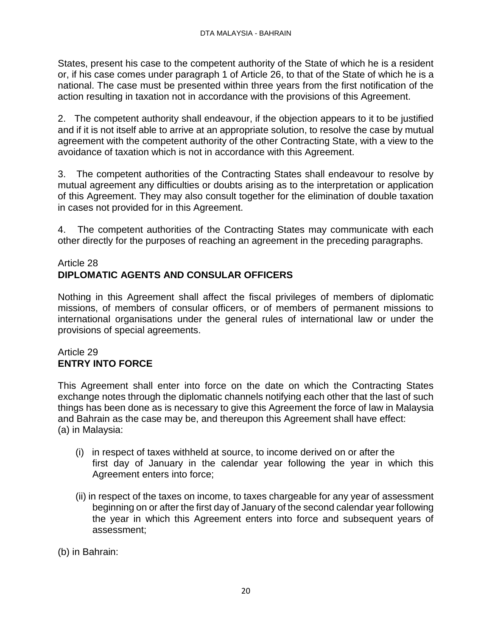States, present his case to the competent authority of the State of which he is a resident or, if his case comes under paragraph 1 of Article 26, to that of the State of which he is a national. The case must be presented within three years from the first notification of the action resulting in taxation not in accordance with the provisions of this Agreement.

2. The competent authority shall endeavour, if the objection appears to it to be justified and if it is not itself able to arrive at an appropriate solution, to resolve the case by mutual agreement with the competent authority of the other Contracting State, with a view to the avoidance of taxation which is not in accordance with this Agreement.

3. The competent authorities of the Contracting States shall endeavour to resolve by mutual agreement any difficulties or doubts arising as to the interpretation or application of this Agreement. They may also consult together for the elimination of double taxation in cases not provided for in this Agreement.

4. The competent authorities of the Contracting States may communicate with each other directly for the purposes of reaching an agreement in the preceding paragraphs.

# Article 28 **DIPLOMATIC AGENTS AND CONSULAR OFFICERS**

Nothing in this Agreement shall affect the fiscal privileges of members of diplomatic missions, of members of consular officers, or of members of permanent missions to international organisations under the general rules of international law or under the provisions of special agreements.

## Article 29 **ENTRY INTO FORCE**

This Agreement shall enter into force on the date on which the Contracting States exchange notes through the diplomatic channels notifying each other that the last of such things has been done as is necessary to give this Agreement the force of law in Malaysia and Bahrain as the case may be, and thereupon this Agreement shall have effect: (a) in Malaysia:

- (i) in respect of taxes withheld at source, to income derived on or after the first day of January in the calendar year following the year in which this Agreement enters into force;
- (ii) in respect of the taxes on income, to taxes chargeable for any year of assessment beginning on or after the first day of January of the second calendar year following the year in which this Agreement enters into force and subsequent years of assessment;

(b) in Bahrain: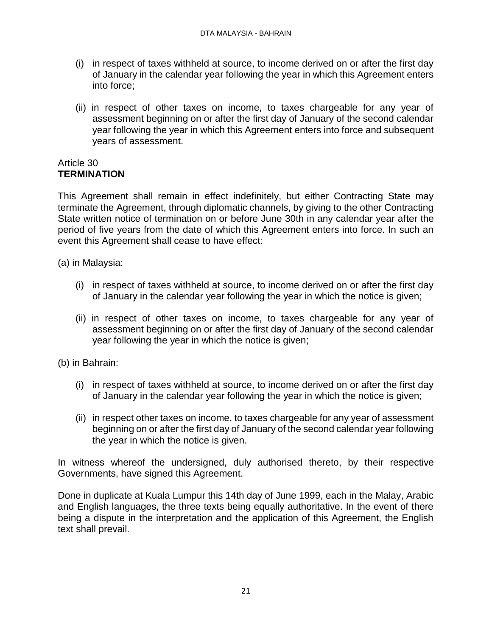- (i) in respect of taxes withheld at source, to income derived on or after the first day of January in the calendar year following the year in which this Agreement enters into force;
- (ii) in respect of other taxes on income, to taxes chargeable for any year of assessment beginning on or after the first day of January of the second calendar year following the year in which this Agreement enters into force and subsequent years of assessment.

## Article 30 **TERMINATION**

This Agreement shall remain in effect indefinitely, but either Contracting State may terminate the Agreement, through diplomatic channels, by giving to the other Contracting State written notice of termination on or before June 30th in any calendar year after the period of five years from the date of which this Agreement enters into force. In such an event this Agreement shall cease to have effect:

(a) in Malaysia:

- (i) in respect of taxes withheld at source, to income derived on or after the first day of January in the calendar year following the year in which the notice is given;
- (ii) in respect of other taxes on income, to taxes chargeable for any year of assessment beginning on or after the first day of January of the second calendar year following the year in which the notice is given;

(b) in Bahrain:

- (i) in respect of taxes withheld at source, to income derived on or after the first day of January in the calendar year following the year in which the notice is given;
- (ii) in respect other taxes on income, to taxes chargeable for any year of assessment beginning on or after the first day of January of the second calendar year following the year in which the notice is given.

In witness whereof the undersigned, duly authorised thereto, by their respective Governments, have signed this Agreement.

Done in duplicate at Kuala Lumpur this 14th day of June 1999, each in the Malay, Arabic and English languages, the three texts being equally authoritative. In the event of there being a dispute in the interpretation and the application of this Agreement, the English text shall prevail.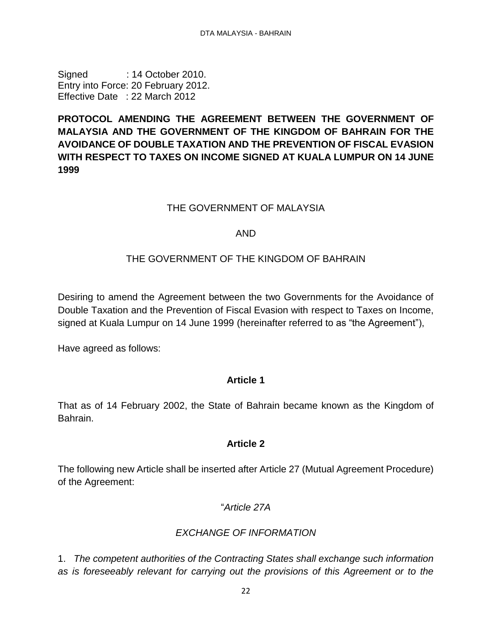<span id="page-21-0"></span>Signed : 14 October 2010. Entry into Force: 20 February 2012. Effective Date : 22 March 2012

**PROTOCOL AMENDING THE AGREEMENT BETWEEN THE GOVERNMENT OF MALAYSIA AND THE GOVERNMENT OF THE KINGDOM OF BAHRAIN FOR THE AVOIDANCE OF DOUBLE TAXATION AND THE PREVENTION OF FISCAL EVASION WITH RESPECT TO TAXES ON INCOME SIGNED AT KUALA LUMPUR ON 14 JUNE 1999**

### THE GOVERNMENT OF MALAYSIA

#### AND

### THE GOVERNMENT OF THE KINGDOM OF BAHRAIN

Desiring to amend the Agreement between the two Governments for the Avoidance of Double Taxation and the Prevention of Fiscal Evasion with respect to Taxes on Income, signed at Kuala Lumpur on 14 June 1999 (hereinafter referred to as "the Agreement"),

Have agreed as follows:

#### **Article 1**

That as of 14 February 2002, the State of Bahrain became known as the Kingdom of Bahrain.

#### **Article 2**

The following new Article shall be inserted after Article 27 (Mutual Agreement Procedure) of the Agreement:

#### "*Article 27A*

## *EXCHANGE OF INFORMATION*

1. *The competent authorities of the Contracting States shall exchange such information as is foreseeably relevant for carrying out the provisions of this Agreement or to the*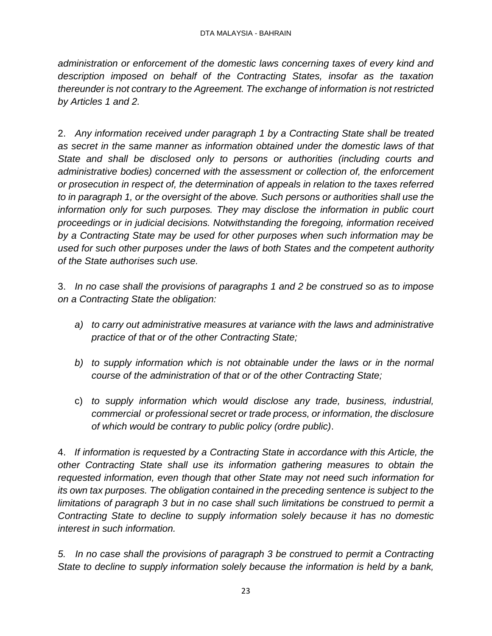*administration or enforcement of the domestic laws concerning taxes of every kind and description imposed on behalf of the Contracting States, insofar as the taxation thereunder is not contrary to the Agreement. The exchange of information is not restricted by Articles 1 and 2.* 

2. *Any information received under paragraph 1 by a Contracting State shall be treated as secret in the same manner as information obtained under the domestic laws of that State and shall be disclosed only to persons or authorities (including courts and administrative bodies) concerned with the assessment or collection of, the enforcement or prosecution in respect of, the determination of appeals in relation to the taxes referred to in paragraph 1, or the oversight of the above. Such persons or authorities shall use the information only for such purposes. They may disclose the information in public court proceedings or in judicial decisions. Notwithstanding the foregoing, information received by a Contracting State may be used for other purposes when such information may be used for such other purposes under the laws of both States and the competent authority of the State authorises such use.* 

3. *In no case shall the provisions of paragraphs 1 and 2 be construed so as to impose on a Contracting State the obligation:*

- *a) to carry out administrative measures at variance with the laws and administrative practice of that or of the other Contracting State;*
- *b) to supply information which is not obtainable under the laws or in the normal course of the administration of that or of the other Contracting State;*
- c) *to supply information which would disclose any trade, business, industrial, commercial or professional secret or trade process, or information, the disclosure of which would be contrary to public policy (ordre public)*.

4. *If information is requested by a Contracting State in accordance with this Article, the other Contracting State shall use its information gathering measures to obtain the requested information, even though that other State may not need such information for its own tax purposes. The obligation contained in the preceding sentence is subject to the limitations of paragraph 3 but in no case shall such limitations be construed to permit a Contracting State to decline to supply information solely because it has no domestic interest in such information.* 

*5. In no case shall the provisions of paragraph 3 be construed to permit a Contracting State to decline to supply information solely because the information is held by a bank,*